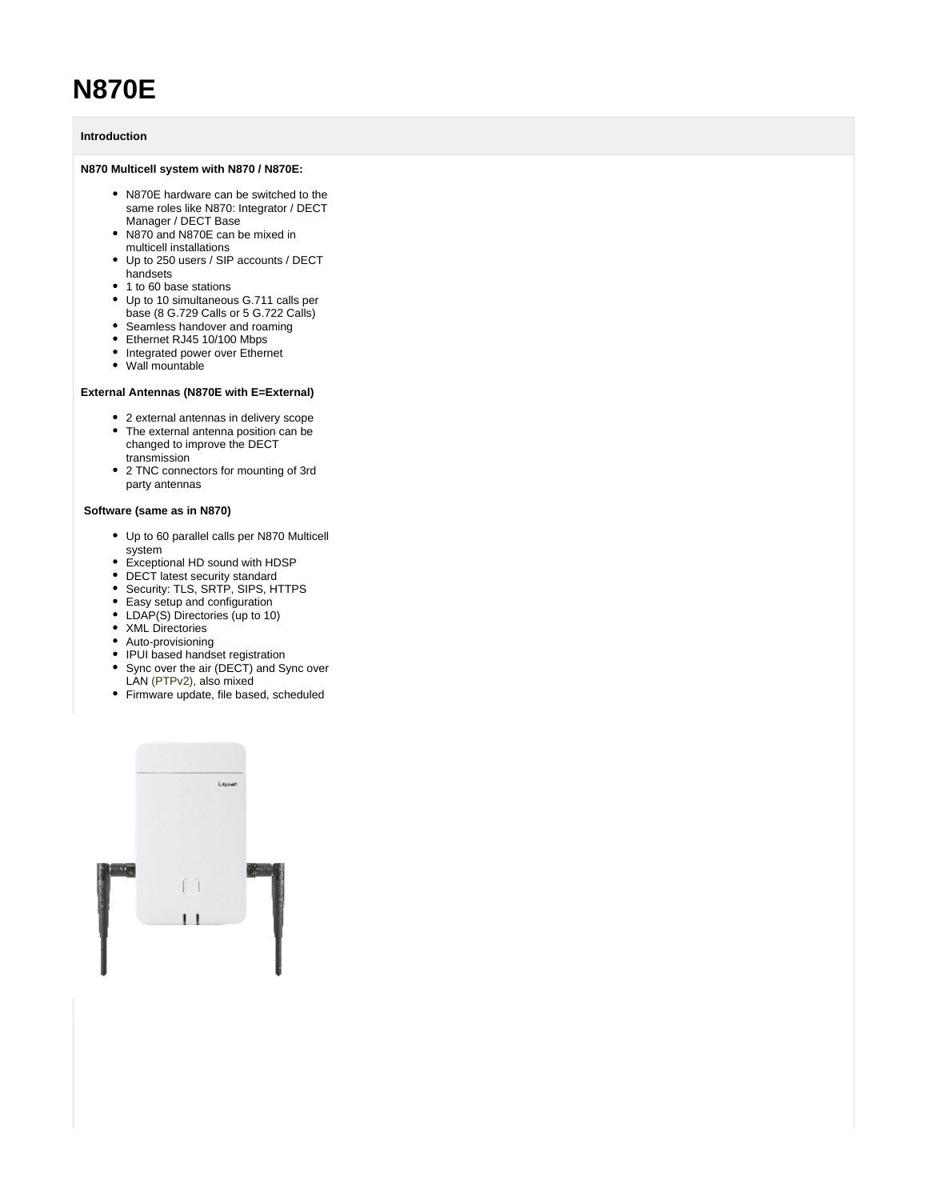# **N870E**

# **Introduction**

## **N870 Multicell system with N870 / N870E:**

- N870E hardware can be switched to the same roles like N870: Integrator / DECT Manager / DECT Base
- N870 and N870E can be mixed in multicell installations
- Up to 250 users / SIP accounts / DECT handsets
- 1 to 60 base stations
- Up to 10 simultaneous G.711 calls per base (8 G.729 Calls or 5 G.722 Calls)
- Seamless handover and roaming
- Ethernet RJ45 10/100 Mbps
- Integrated power over Ethernet
- Wall mountable

## **External Antennas (N870E with E=External)**

- 2 external antennas in delivery scope • The external antenna position can be
- changed to improve the DECT transmission
- 2 TNC connectors for mounting of 3rd party antennas

#### **Software (same as in N870)**

- Up to 60 parallel calls per N870 Multicell system
- Exceptional HD sound with HDSP
- DECT latest security standard
- Security: TLS, SRTP, SIPS, HTTPS
- Easy setup and configuration
- LDAP(S) Directories (up to 10)
- XML Directories
- Auto-provisioning
- IPUI based handset registration
- Sync over the air (DECT) and Sync over
- LAN (PTPv2), also mixed
- Firmware update, file based, scheduled

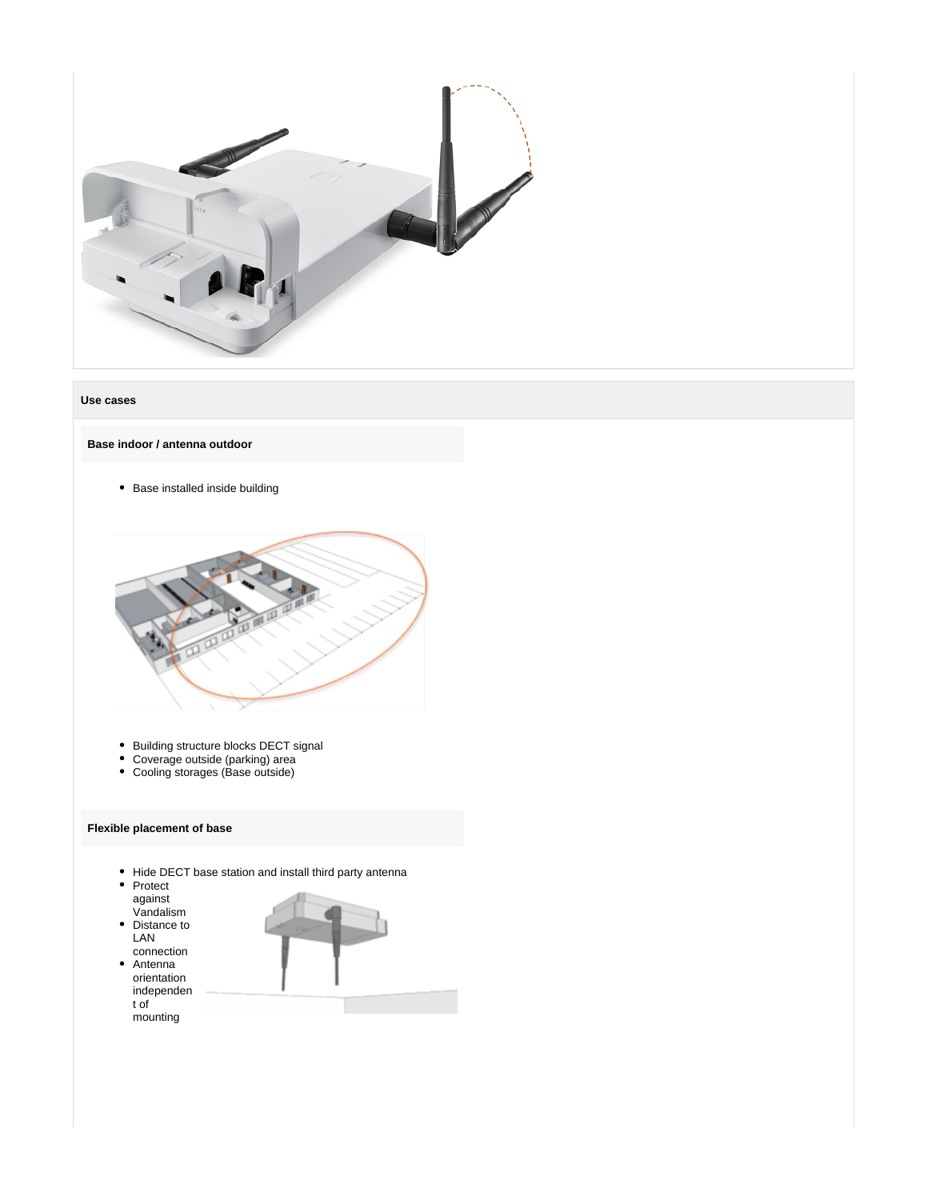

#### **Use cases**

**Base indoor / antenna outdoor**

• Base installed inside building



- Building structure blocks DECT signal
- Coverage outside (parking) area
- Cooling storages (Base outside)

## **Flexible placement of base**

- Hide DECT base station and install third party antenna
- Protect against Vandalism
- Distance to LAN connection
- Antenna orientation independen t of mounting

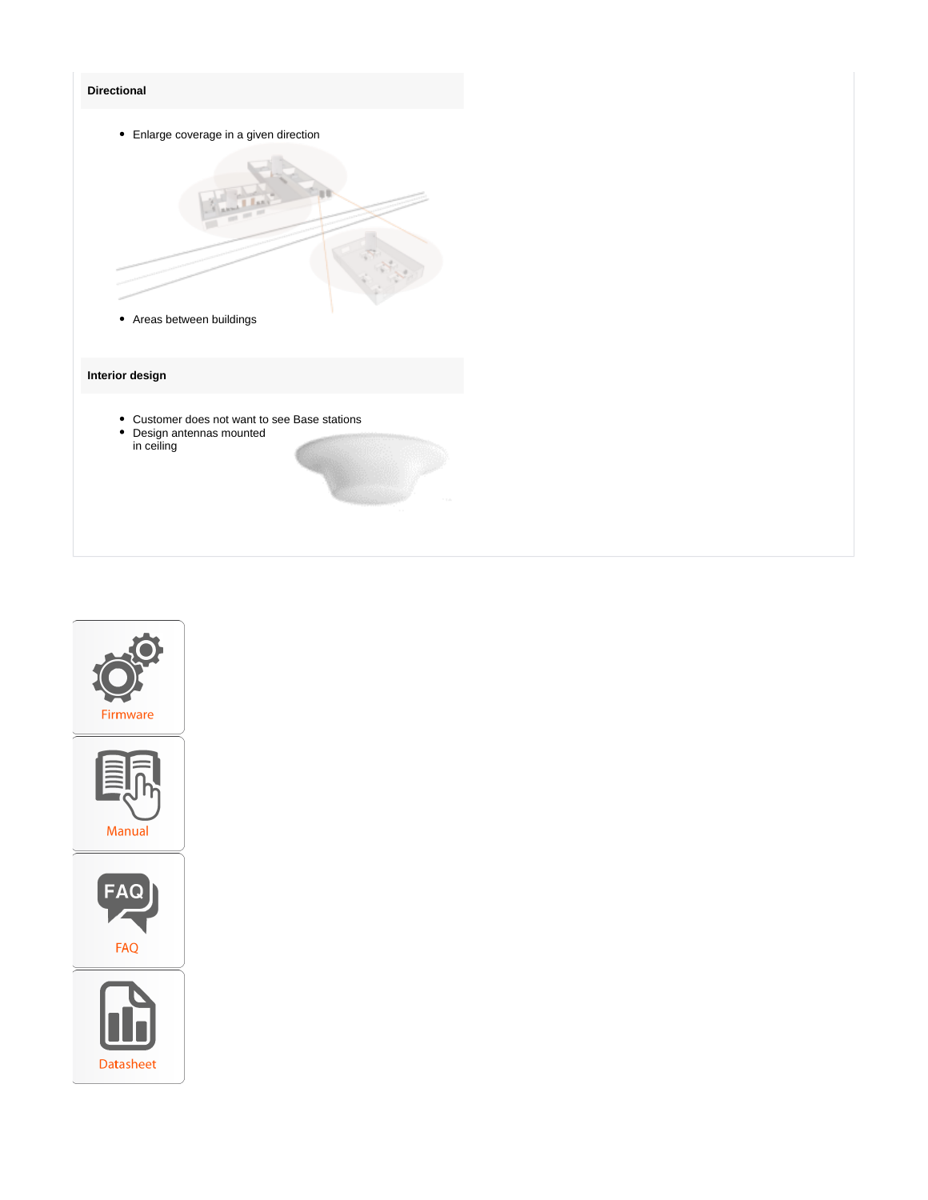# **Directional**



- Customer does not want to see Base stations
- Design antennas mounted in ceiling